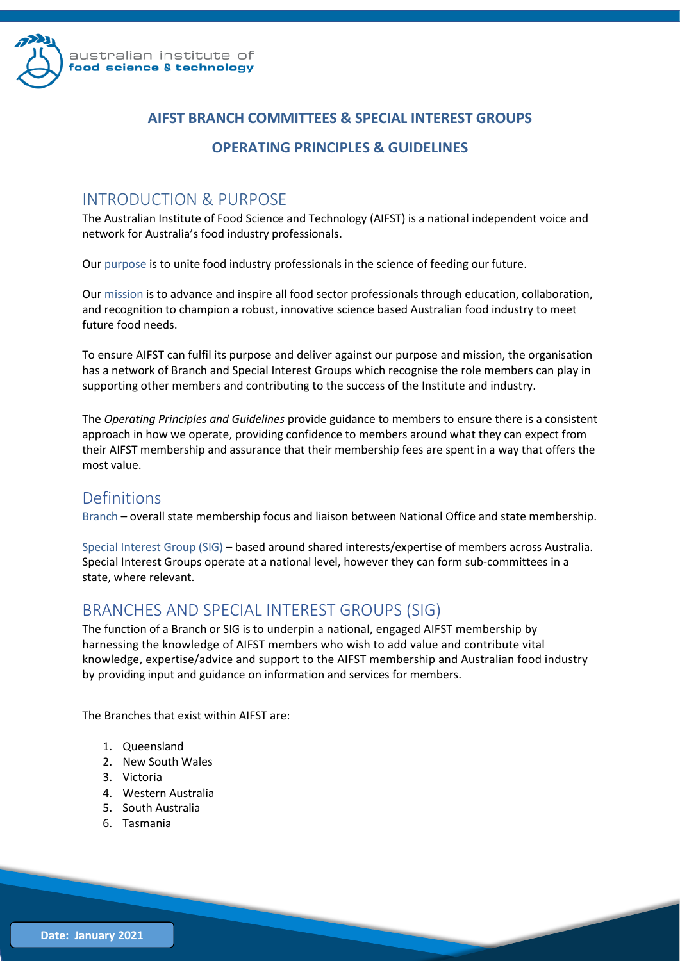

### **AIFST BRANCH COMMITTEES & SPECIAL INTEREST GROUPS**

#### **OPERATING PRINCIPLES & GUIDELINES**

### INTRODUCTION & PURPOSE

The Australian Institute of Food Science and Technology (AIFST) is a national independent voice and network for Australia's food industry professionals.

Our purpose is to unite food industry professionals in the science of feeding our future.

Our mission is to advance and inspire all food sector professionals through education, collaboration, and recognition to champion a robust, innovative science based Australian food industry to meet future food needs.

To ensure AIFST can fulfil its purpose and deliver against our purpose and mission, the organisation has a network of Branch and Special Interest Groups which recognise the role members can play in supporting other members and contributing to the success of the Institute and industry.

The *Operating Principles and Guidelines* provide guidance to members to ensure there is a consistent approach in how we operate, providing confidence to members around what they can expect from their AIFST membership and assurance that their membership fees are spent in a way that offers the most value.

### Definitions

Branch – overall state membership focus and liaison between National Office and state membership.

Special Interest Group (SIG) – based around shared interests/expertise of members across Australia. Special Interest Groups operate at a national level, however they can form sub-committees in a state, where relevant.

# BRANCHES AND SPECIAL INTEREST GROUPS (SIG)

The function of a Branch or SIG is to underpin a national, engaged AIFST membership by harnessing the knowledge of AIFST members who wish to add value and contribute vital knowledge, expertise/advice and support to the AIFST membership and Australian food industry by providing input and guidance on information and services for members.

The Branches that exist within AIFST are:

- 1. Queensland
- 2. New South Wales
- 3. Victoria
- 4. Western Australia
- 5. South Australia
- 6. Tasmania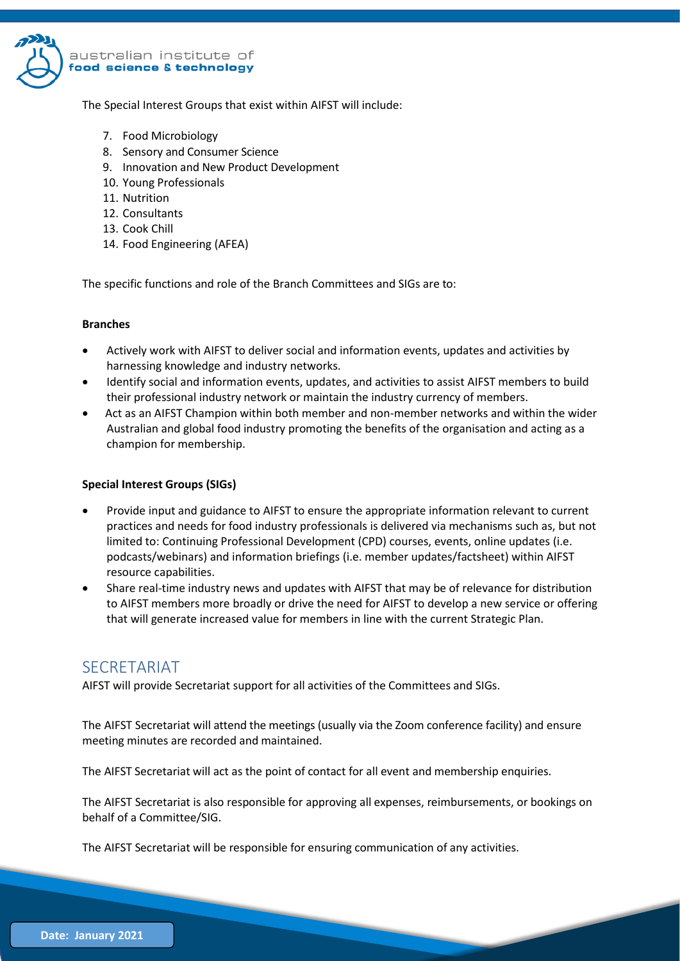

The Special Interest Groups that exist within AIFST will include:

- 7. Food Microbiology
- 8. Sensory and Consumer Science
- 9. Innovation and New Product Development
- 10. Young Professionals
- 11. Nutrition
- 12. Consultants
- 13. Cook Chill
- 14. Food Engineering (AFEA)

The specific functions and role of the Branch Committees and SIGs are to:

#### **Branches**

- Actively work with AIFST to deliver social and information events, updates and activities by harnessing knowledge and industry networks.
- Identify social and information events, updates, and activities to assist AIFST members to build their professional industry network or maintain the industry currency of members.
- Act as an AIFST Champion within both member and non-member networks and within the wider Australian and global food industry promoting the benefits of the organisation and acting as a champion for membership.

#### **Special Interest Groups (SIGs)**

- Provide input and guidance to AIFST to ensure the appropriate information relevant to current practices and needs for food industry professionals is delivered via mechanisms such as, but not limited to: Continuing Professional Development (CPD) courses, events, online updates (i.e. podcasts/webinars) and information briefings (i.e. member updates/factsheet) within AIFST resource capabilities.
- Share real-time industry news and updates with AIFST that may be of relevance for distribution to AIFST members more broadly or drive the need for AIFST to develop a new service or offering that will generate increased value for members in line with the current Strategic Plan.

### **SECRETARIAT**

AIFST will provide Secretariat support for all activities of the Committees and SIGs.

The AIFST Secretariat will attend the meetings (usually via the Zoom conference facility) and ensure meeting minutes are recorded and maintained.

The AIFST Secretariat will act as the point of contact for all event and membership enquiries.

The AIFST Secretariat is also responsible for approving all expenses, reimbursements, or bookings on behalf of a Committee/SIG.

The AIFST Secretariat will be responsible for ensuring communication of any activities.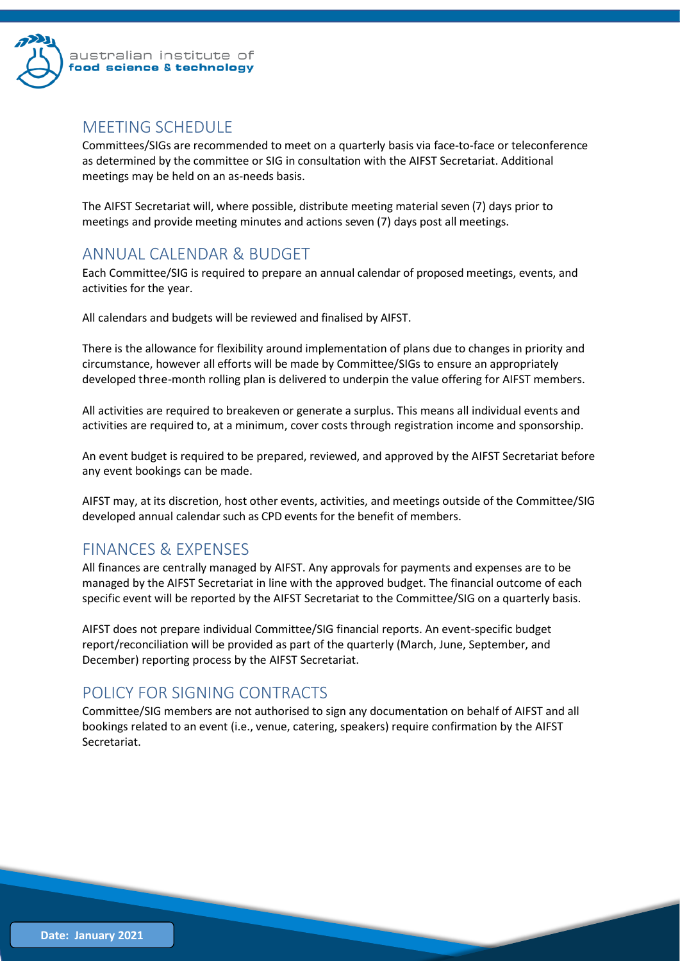

### MEETING SCHEDULE

Committees/SIGs are recommended to meet on a quarterly basis via face-to-face or teleconference as determined by the committee or SIG in consultation with the AIFST Secretariat. Additional meetings may be held on an as-needs basis.

The AIFST Secretariat will, where possible, distribute meeting material seven (7) days prior to meetings and provide meeting minutes and actions seven (7) days post all meetings.

# ANNUAL CALENDAR & BUDGET

Each Committee/SIG is required to prepare an annual calendar of proposed meetings, events, and activities for the year.

All calendars and budgets will be reviewed and finalised by AIFST.

There is the allowance for flexibility around implementation of plans due to changes in priority and circumstance, however all efforts will be made by Committee/SIGs to ensure an appropriately developed three-month rolling plan is delivered to underpin the value offering for AIFST members.

All activities are required to breakeven or generate a surplus. This means all individual events and activities are required to, at a minimum, cover costs through registration income and sponsorship.

An event budget is required to be prepared, reviewed, and approved by the AIFST Secretariat before any event bookings can be made.

AIFST may, at its discretion, host other events, activities, and meetings outside of the Committee/SIG developed annual calendar such as CPD events for the benefit of members.

# FINANCES & EXPENSES

All finances are centrally managed by AIFST. Any approvals for payments and expenses are to be managed by the AIFST Secretariat in line with the approved budget. The financial outcome of each specific event will be reported by the AIFST Secretariat to the Committee/SIG on a quarterly basis.

AIFST does not prepare individual Committee/SIG financial reports. An event-specific budget report/reconciliation will be provided as part of the quarterly (March, June, September, and December) reporting process by the AIFST Secretariat.

# POLICY FOR SIGNING CONTRACTS

Committee/SIG members are not authorised to sign any documentation on behalf of AIFST and all bookings related to an event (i.e., venue, catering, speakers) require confirmation by the AIFST Secretariat.